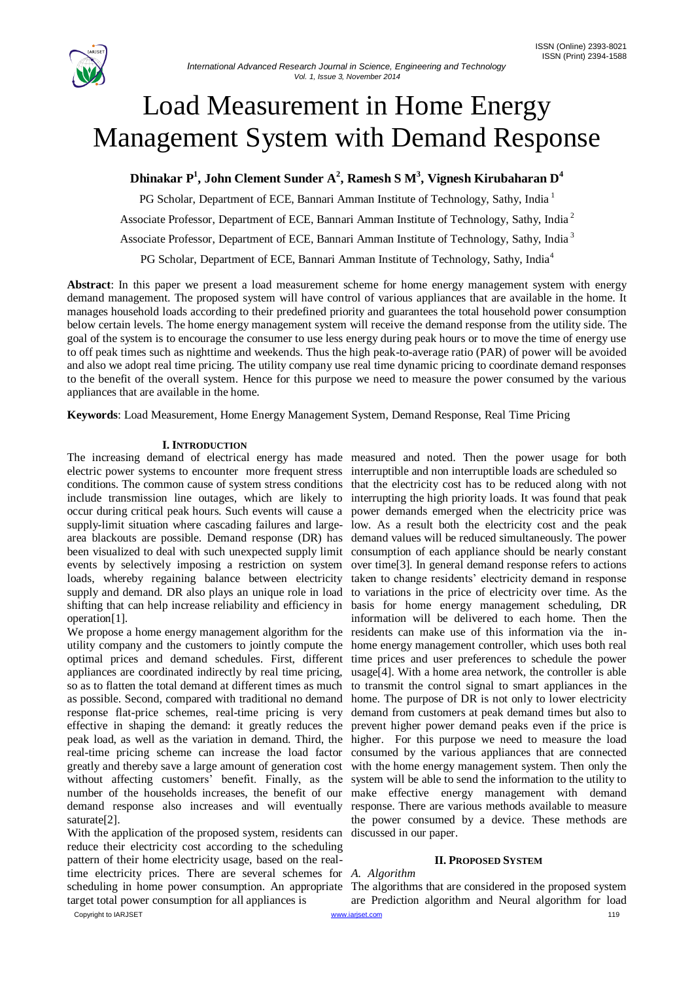

# Load Measurement in Home Energy Management System with Demand Response

**Dhinakar P<sup>1</sup> , John Clement Sunder A<sup>2</sup> , Ramesh S M<sup>3</sup> , Vignesh Kirubaharan D<sup>4</sup>**

PG Scholar, Department of ECE, Bannari Amman Institute of Technology, Sathy, India <sup>1</sup>

Associate Professor, Department of ECE, Bannari Amman Institute of Technology, Sathy, India <sup>2</sup>

Associate Professor, Department of ECE, Bannari Amman Institute of Technology, Sathy, India <sup>3</sup>

PG Scholar, Department of ECE, Bannari Amman Institute of Technology, Sathy, India<sup>4</sup>

**Abstract**: In this paper we present a load measurement scheme for home energy management system with energy demand management. The proposed system will have control of various appliances that are available in the home. It manages household loads according to their predefined priority and guarantees the total household power consumption below certain levels. The home energy management system will receive the demand response from the utility side. The goal of the system is to encourage the consumer to use less energy during peak hours or to move the time of energy use to off peak times such as nighttime and weekends. Thus the high peak-to-average ratio (PAR) of power will be avoided and also we adopt real time pricing. The utility company use real time dynamic pricing to coordinate demand responses to the benefit of the overall system. Hence for this purpose we need to measure the power consumed by the various appliances that are available in the home.

**Keywords**: Load Measurement, Home Energy Management System, Demand Response, Real Time Pricing

# **I. INTRODUCTION**

The increasing demand of electrical energy has made measured and noted. Then the power usage for both electric power systems to encounter more frequent stress interruptible and non interruptible loads are scheduled so conditions. The common cause of system stress conditions that the electricity cost has to be reduced along with not include transmission line outages, which are likely to interrupting the high priority loads. It was found that peak occur during critical peak hours. Such events will cause a power demands emerged when the electricity price was supply-limit situation where cascading failures and large-low. As a result both the electricity cost and the peak area blackouts are possible. Demand response (DR) has demand values will be reduced simultaneously. The power been visualized to deal with such unexpected supply limit consumption of each appliance should be nearly constant events by selectively imposing a restriction on system over time[3]. In general demand response refers to actions loads, whereby regaining balance between electricity taken to change residents' electricity demand in response supply and demand. DR also plays an unique role in load to variations in the price of electricity over time. As the shifting that can help increase reliability and efficiency in operation[1].

We propose a home energy management algorithm for the residents can make use of this information via the inutility company and the customers to jointly compute the home energy management controller, which uses both real optimal prices and demand schedules. First, different time prices and user preferences to schedule the power appliances are coordinated indirectly by real time pricing, so as to flatten the total demand at different times as much as possible. Second, compared with traditional no demand response flat-price schemes, real-time pricing is very effective in shaping the demand: it greatly reduces the peak load, as well as the variation in demand. Third, the real-time pricing scheme can increase the load factor greatly and thereby save a large amount of generation cost without affecting customers' benefit. Finally, as the number of the households increases, the benefit of our demand response also increases and will eventually saturate[2].

With the application of the proposed system, residents can reduce their electricity cost according to the scheduling pattern of their home electricity usage, based on the realtime electricity prices. There are several schemes for *A. Algorithm*  scheduling in home power consumption. An appropriate The algorithms that are considered in the proposed system target total power consumption for all appliances is

basis for home energy management scheduling, DR information will be delivered to each home. Then the usage[4]. With a home area network, the controller is able to transmit the control signal to smart appliances in the home. The purpose of DR is not only to lower electricity demand from customers at peak demand times but also to prevent higher power demand peaks even if the price is higher. For this purpose we need to measure the load consumed by the various appliances that are connected with the home energy management system. Then only the system will be able to send the information to the utility to make effective energy management with demand response. There are various methods available to measure the power consumed by a device. These methods are discussed in our paper.

# **II. PROPOSED SYSTEM**

Copyright to IARJSET **[www.iarjset.com](http://www.iarjset.com/) www.iarjset.com 119** are Prediction algorithm and Neural algorithm for load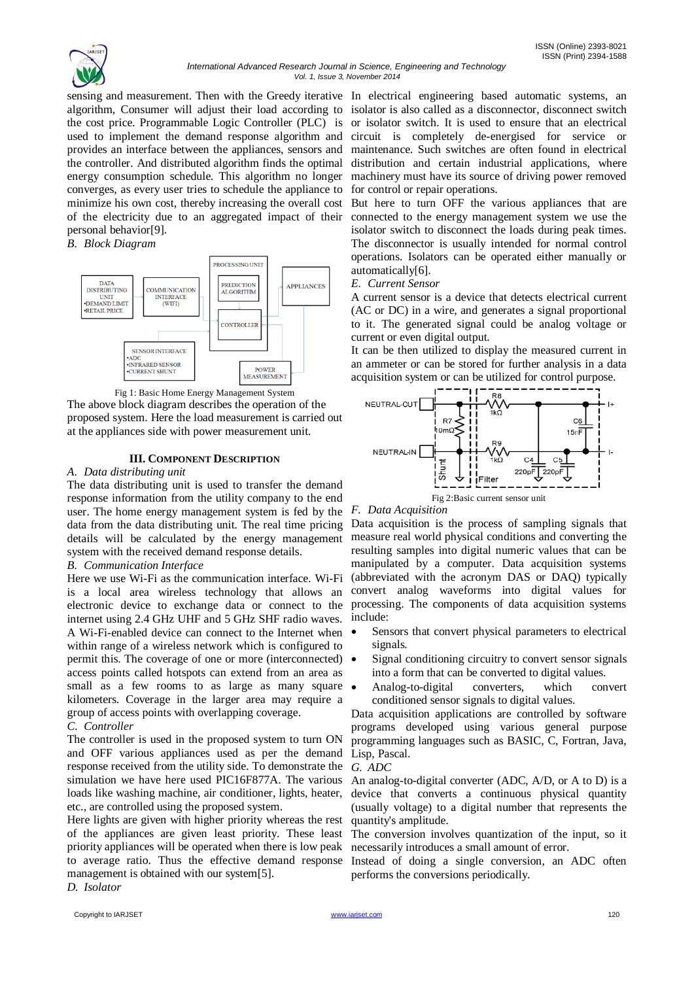

sensing and measurement. Then with the Greedy iterative In electrical engineering based automatic systems, an algorithm, Consumer will adjust their load according to isolator is also called as a disconnector, disconnect switch used to implement the demand response algorithm and provides an interface between the appliances, sensors and the controller. And distributed algorithm finds the optimal energy consumption schedule. This algorithm no longer converges, as every user tries to schedule the appliance to minimize his own cost, thereby increasing the overall cost of the electricity due to an aggregated impact of their personal behavior[9].

## *B. Block Diagram*



Fig 1: Basic Home Energy Management System

The above block diagram describes the operation of the proposed system. Here the load measurement is carried out at the appliances side with power measurement unit.

# **III. COMPONENT DESCRIPTION**

## *A. Data distributing unit*

The data distributing unit is used to transfer the demand response information from the utility company to the end user. The home energy management system is fed by the data from the data distributing unit. The real time pricing details will be calculated by the energy management system with the received demand response details.

# *B. Communication Interface*

Here we use Wi-Fi as the communication interface. Wi-Fi is a local area wireless technology that allows an electronic device to exchange data or connect to the processing. The components of data acquisition systems internet using 2.4 GHz UHF and 5 GHz SHF radio waves. A Wi-Fi-enabled device can connect to the Internet when within range of a wireless network which is configured to permit this. The coverage of one or more (interconnected) access points called hotspots can extend from an area as small as a few rooms to as large as many square  $\bullet$ kilometers. Coverage in the larger area may require a group of access points with overlapping coverage.

## *C. Controller*

The controller is used in the proposed system to turn ON and OFF various appliances used as per the demand response received from the utility side. To demonstrate the simulation we have here used PIC16F877A. The various loads like washing machine, air conditioner, lights, heater, etc., are controlled using the proposed system.

Here lights are given with higher priority whereas the rest of the appliances are given least priority. These least priority appliances will be operated when there is low peak to average ratio. Thus the effective demand response management is obtained with our system[5].

*D. Isolator*

the cost price. Programmable Logic Controller (PLC) is or isolator switch. It is used to ensure that an electrical circuit is completely de-energised for service or maintenance. Such switches are often found in electrical distribution and certain industrial applications, where machinery must have its source of driving power removed for control or repair operations.

> But here to turn OFF the various appliances that are connected to the energy management system we use the isolator switch to disconnect the loads during peak times. The disconnector is usually intended for normal control operations. Isolators can be operated either manually or automatically[6].

#### *E. Current Sensor*

A current sensor is a device that detects electrical current (AC or DC) in a wire, and generates a signal proportional to it. The generated signal could be analog voltage or current or even digital output.

It can be then utilized to display the measured current in an ammeter or can be stored for further analysis in a data acquisition system or can be utilized for control purpose.



Fig 2:Basic current sensor unit

## *F. Data Acquisition*

Data acquisition is the process of sampling signals that measure real world physical conditions and converting the resulting samples into digital numeric values that can be manipulated by a computer. Data acquisition systems (abbreviated with the acronym DAS or DAQ) typically convert analog waveforms into digital values for include:

- Sensors that convert physical parameters to electrical signals.
- Signal conditioning circuitry to convert sensor signals into a form that can be converted to digital values.
- Analog-to-digital converters, which convert conditioned sensor signals to digital values.

Data acquisition applications are controlled by software programs developed using various general purpose programming languages such as BASIC, C, Fortran, Java, Lisp, Pascal.

#### *G. ADC*

An analog-to-digital converter (ADC, A/D, or A to D) is a device that converts a continuous physical quantity (usually voltage) to a digital number that represents the quantity's amplitude.

The conversion involves quantization of the input, so it necessarily introduces a small amount of error.

Instead of doing a single conversion, an ADC often performs the conversions periodically.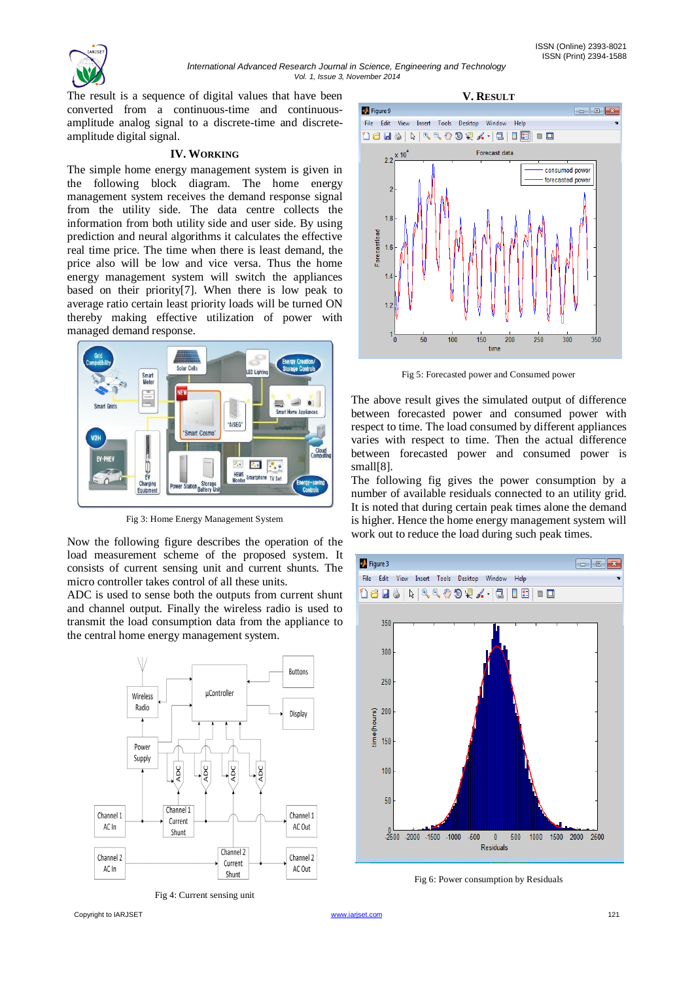

The result is a sequence of digital values that have been converted from a continuous-time and continuousamplitude analog signal to a discrete-time and discreteamplitude digital signal.

## **IV. WORKING**

The simple home energy management system is given in the following block diagram. The home energy management system receives the demand response signal from the utility side. The data centre collects the information from both utility side and user side. By using prediction and neural algorithms it calculates the effective real time price. The time when there is least demand, the price also will be low and vice versa. Thus the home energy management system will switch the appliances based on their priority[7]. When there is low peak to average ratio certain least priority loads will be turned ON thereby making effective utilization of power with managed demand response.



Fig 3: Home Energy Management System

Now the following figure describes the operation of the load measurement scheme of the proposed system. It consists of current sensing unit and current shunts. The micro controller takes control of all these units.

ADC is used to sense both the outputs from current shunt and channel output. Finally the wireless radio is used to transmit the load consumption data from the appliance to the central home energy management system.



Fig 4: Current sensing unit





Fig 5: Forecasted power and Consumed power

The above result gives the simulated output of difference between forecasted power and consumed power with respect to time. The load consumed by different appliances varies with respect to time. Then the actual difference between forecasted power and consumed power is small[8].

The following fig gives the power consumption by a number of available residuals connected to an utility grid. It is noted that during certain peak times alone the demand is higher. Hence the home energy management system will work out to reduce the load during such peak times.



Fig 6: Power consumption by Residuals